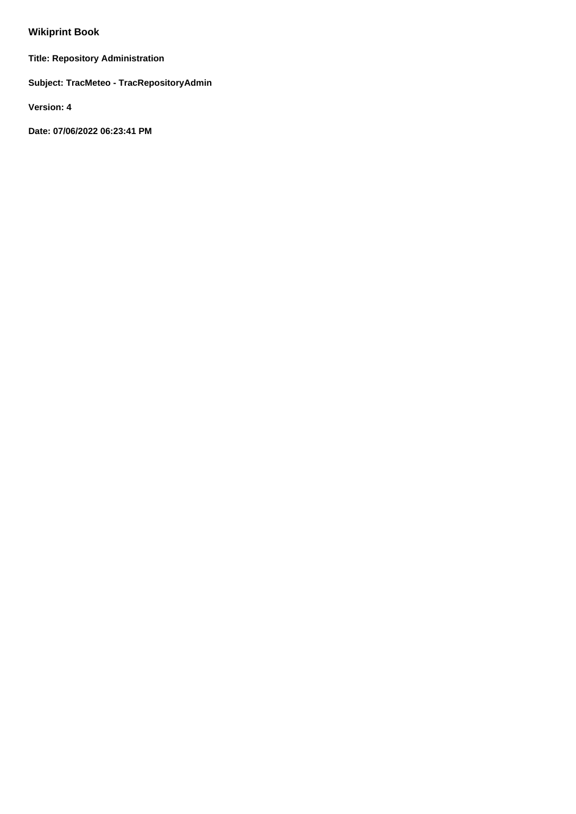# **Wikiprint Book**

**Title: Repository Administration**

**Subject: TracMeteo - TracRepositoryAdmin**

**Version: 4**

**Date: 07/06/2022 06:23:41 PM**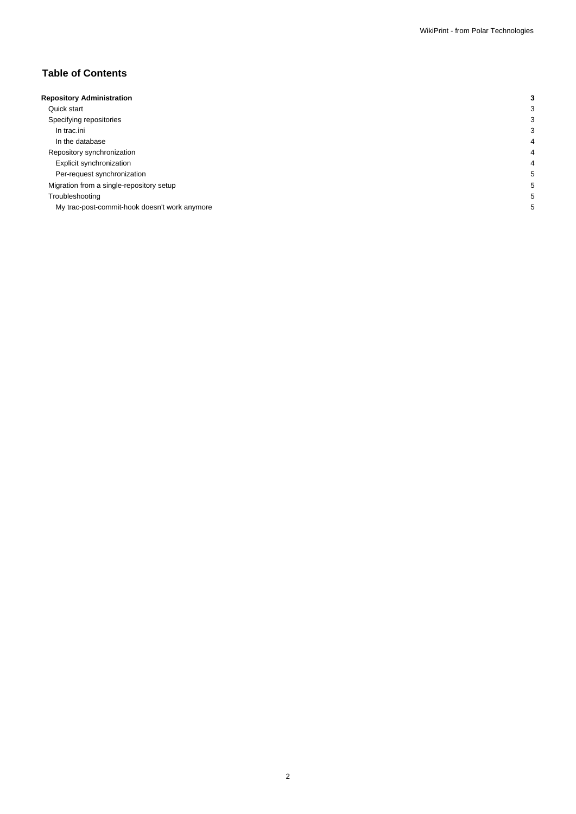## **Table of Contents**

| <b>Repository Administration</b>              |  |
|-----------------------------------------------|--|
| Quick start                                   |  |
| Specifying repositories                       |  |
| In trac.ini                                   |  |
| In the database                               |  |
| Repository synchronization                    |  |
| Explicit synchronization                      |  |
| Per-request synchronization                   |  |
| Migration from a single-repository setup      |  |
| Troubleshooting                               |  |
| My trac-post-commit-hook doesn't work anymore |  |
|                                               |  |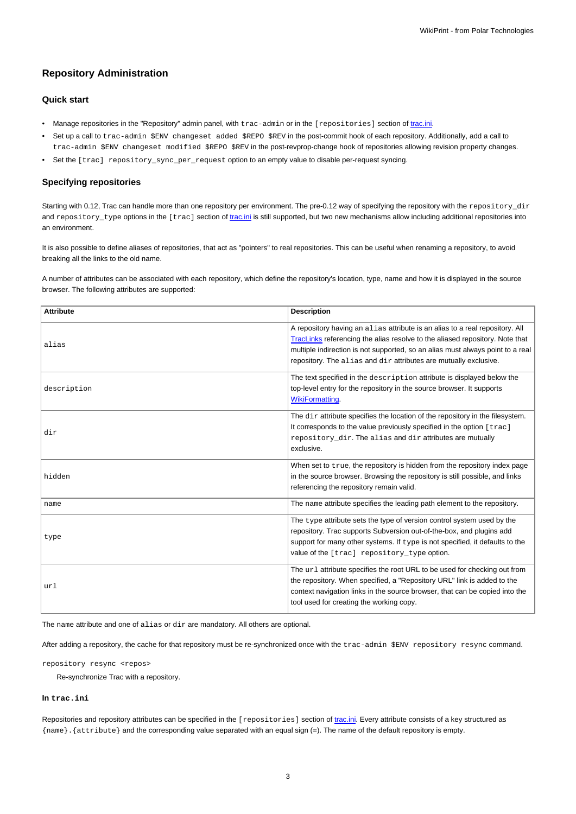## **Repository Administration**

## **Quick start**

- Manage repositories in the "Repository" admin panel, with trac-admin or in the [repositories] section of [trac.ini.](https://meteo.unican.es/trac/wiki/TracIni#repositories-section)
- Set up a call to trac-admin \$ENV changeset added \$REPO \$REV in the post-commit hook of each repository. Additionally, add a call to trac-admin \$ENV changeset modified \$REPO \$REV in the post-revprop-change hook of repositories allowing revision property changes.
- Set the [trac] repository\_sync\_per\_request option to an empty value to disable per-request syncing.

## **Specifying repositories**

Starting with 0.12, Trac can handle more than one repository per environment. The pre-0.12 way of specifying the repository with the repository\_dir and repository\_type options in the [trac] section of [trac.ini](https://meteo.unican.es/trac/wiki/TracIni) is still supported, but two new mechanisms allow including additional repositories into an environment.

It is also possible to define aliases of repositories, that act as "pointers" to real repositories. This can be useful when renaming a repository, to avoid breaking all the links to the old name.

A number of attributes can be associated with each repository, which define the repository's location, type, name and how it is displayed in the source browser. The following attributes are supported:

| <b>Attribute</b> | <b>Description</b>                                                                                                                                                                                                                                                                                                 |
|------------------|--------------------------------------------------------------------------------------------------------------------------------------------------------------------------------------------------------------------------------------------------------------------------------------------------------------------|
| alias            | A repository having an alias attribute is an alias to a real repository. All<br>TracLinks referencing the alias resolve to the aliased repository. Note that<br>multiple indirection is not supported, so an alias must always point to a real<br>repository. The alias and dir attributes are mutually exclusive. |
| description      | The text specified in the description attribute is displayed below the<br>top-level entry for the repository in the source browser. It supports<br>WikiFormatting.                                                                                                                                                 |
| dir              | The dir attribute specifies the location of the repository in the filesystem.<br>It corresponds to the value previously specified in the option [trac]<br>repository_dir. The alias and dir attributes are mutually<br>exclusive.                                                                                  |
| hidden           | When set to true, the repository is hidden from the repository index page<br>in the source browser. Browsing the repository is still possible, and links<br>referencing the repository remain valid.                                                                                                               |
| name             | The name attribute specifies the leading path element to the repository.                                                                                                                                                                                                                                           |
| type             | The type attribute sets the type of version control system used by the<br>repository. Trac supports Subversion out-of-the-box, and plugins add<br>support for many other systems. If type is not specified, it defaults to the<br>value of the [trac] repository_type option.                                      |
| url              | The url attribute specifies the root URL to be used for checking out from<br>the repository. When specified, a "Repository URL" link is added to the<br>context navigation links in the source browser, that can be copied into the<br>tool used for creating the working copy.                                    |

The name attribute and one of alias or dir are mandatory. All others are optional.

After adding a repository, the cache for that repository must be re-synchronized once with the trac-admin \$ENV repository resync command.

repository resync <repos>

Re-synchronize Trac with a repository.

## **In trac.ini**

Repositories and repository attributes can be specified in the [repositories] section of [trac.ini.](https://meteo.unican.es/trac/wiki/TracIni#repositories-section) Every attribute consists of a key structured as {name}. {attribute} and the corresponding value separated with an equal sign (=). The name of the default repository is empty.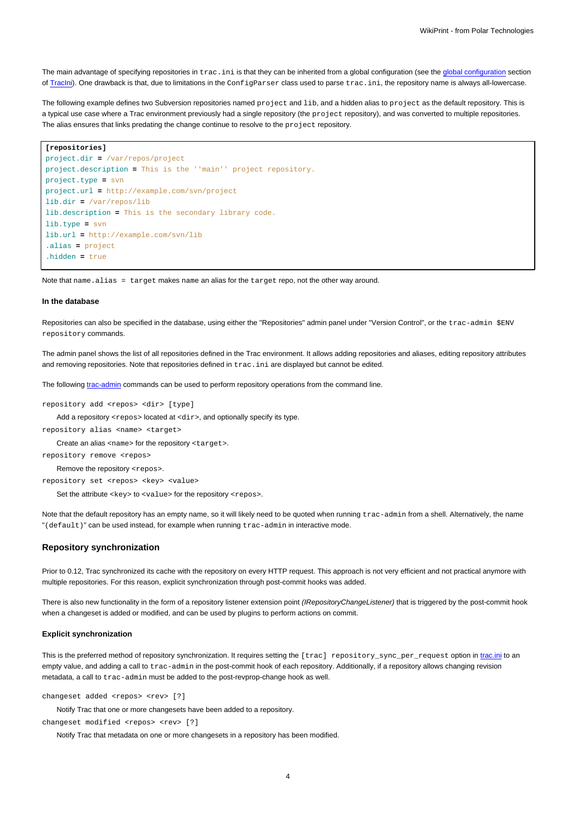The main advantage of specifying repositories in trac.ini is that they can be inherited from a [global configuration](https://meteo.unican.es/trac/wiki/TracIni#GlobalConfiguration) (see the global configuration section of [TracIni\)](https://meteo.unican.es/trac/wiki/TracIni). One drawback is that, due to limitations in the ConfigParser class used to parse trac.ini, the repository name is always all-lowercase.

The following example defines two Subversion repositories named project and lib, and a hidden alias to project as the default repository. This is a typical use case where a Trac environment previously had a single repository (the project repository), and was converted to multiple repositories. The alias ensures that links predating the change continue to resolve to the project repository.

#### **[repositories]**

```
project.dir = /var/repos/project
project.description = This is the ''main'' project repository.
project.type = svn
project.url = http://example.com/svn/project
lib.dir = /var/repos/lib
lib.description = This is the secondary library code.
lib.type = svn
lib.url = http://example.com/svn/lib
.alias = project
.hidden = true
```
Note that name.alias = target makes name an alias for the target repo, not the other way around.

#### **In the database**

Repositories can also be specified in the database, using either the "Repositories" admin panel under "Version Control", or the trac-admin \$ENV repository commands.

The admin panel shows the list of all repositories defined in the Trac environment. It allows adding repositories and aliases, editing repository attributes and removing repositories. Note that repositories defined in trac.ini are displayed but cannot be edited.

The following [trac-admin](https://meteo.unican.es/trac/wiki/TracAdmin) commands can be used to perform repository operations from the command line.

repository add <repos> <dir> [type]

Add a repository <repos> located at <dir>, and optionally specify its type.

repository alias <name> <target>

Create an alias <name> for the repository <target>.

repository remove <repos>

Remove the repository <repos>.

repository set <repos> <key> <value>

Set the attribute <key> to <value> for the repository <repos>.

Note that the default repository has an empty name, so it will likely need to be quoted when running trac-admin from a shell. Alternatively, the name "(default)" can be used instead, for example when running trac-admin in interactive mode.

### **Repository synchronization**

Prior to 0.12, Trac synchronized its cache with the repository on every HTTP request. This approach is not very efficient and not practical anymore with multiple repositories. For this reason, explicit synchronization through post-commit hooks was added.

There is also new functionality in the form of a repository listener extension point (IRepositoryChangeListener) that is triggered by the post-commit hook when a changeset is added or modified, and can be used by plugins to perform actions on commit.

#### **Explicit synchronization**

This is the preferred method of repository synchronization. It requires setting the [trac] repository\_sync\_per\_request option in [trac.ini](https://meteo.unican.es/trac/wiki/TracIni#trac-section) to an empty value, and adding a call to trac-admin in the post-commit hook of each repository. Additionally, if a repository allows changing revision metadata, a call to trac-admin must be added to the post-revprop-change hook as well.

changeset added <repos> <rev> [?]

Notify Trac that one or more changesets have been added to a repository.

changeset modified <repos> <rev> [?]

Notify Trac that metadata on one or more changesets in a repository has been modified.